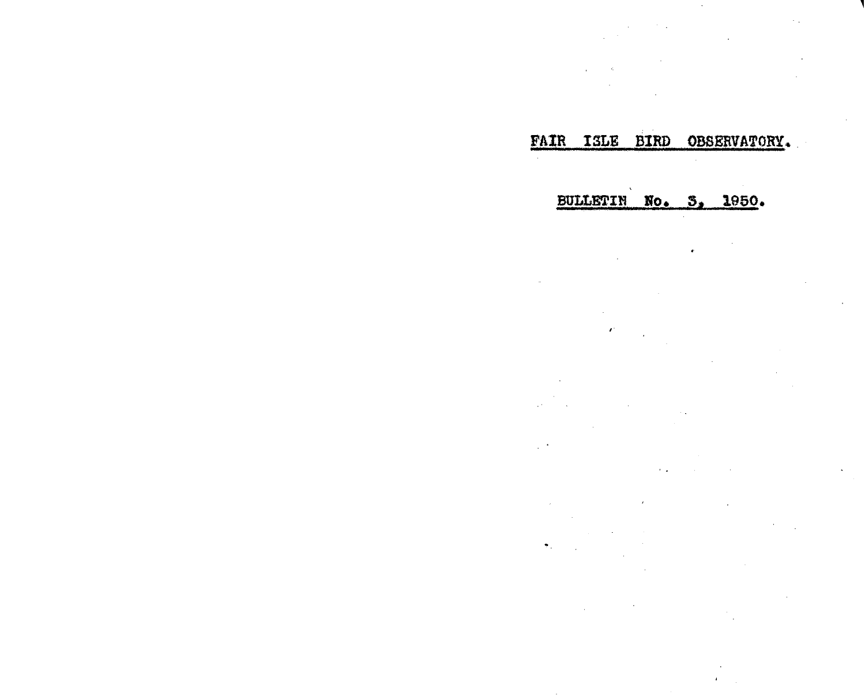# FAIR ISLE BIRD OBSERVATORY.

## BULLETIN No. 3, 1950.

 $\sim$ 

 $\bullet$  .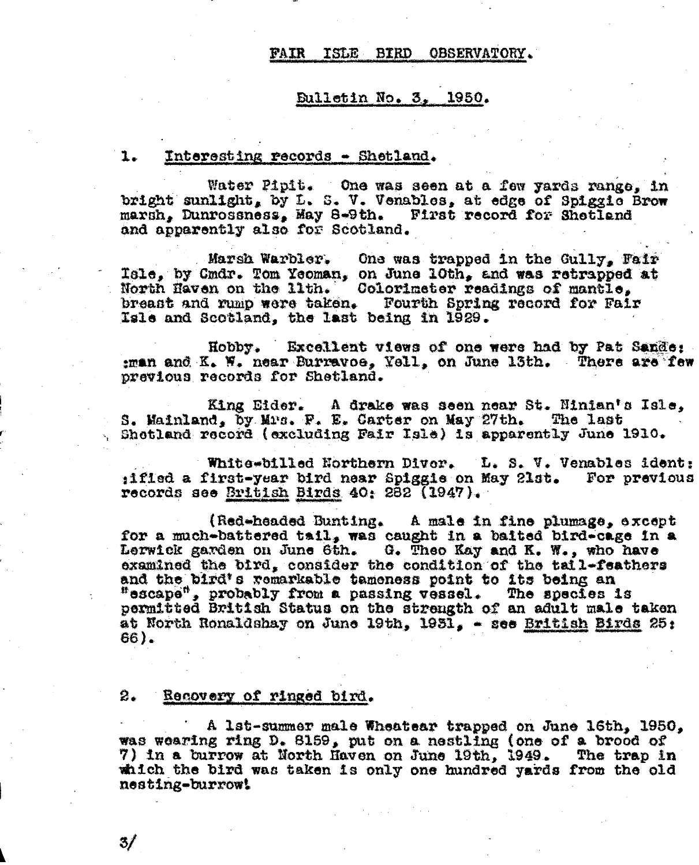### **FAIR** ISLE BIRD OBSERVATORY.

### Bulletin No. 3, 1950.

#### $1.$ Interesting records - Shetland.

Water Pipit. One was seen at a few yards range, in bright sunlight, by L. S. V. Venables, at edge of Spiggic Brow marsh, Dunrossness, May 8-9th. First record for Shetland and apparently also for Scotland.

Marsh Warbler. One was trapped in the Gully. Fair Isle, by Cmdr. Tom Yeoman, on June 10th, and was retrapped at North Haven on the lith. Colorizator readings of mantle. breast and rump were taken. Fourth Spring record for Fair Isle and Scotland, the last being in 1929.

Hobby. Excellent views of one were had by Pat Sande: ;man and K. W. near Burravoe, Yell, on June 13th. There are few previous records for Shetland.

King Eider. A drake was seen near St. Ninian's Isle. S. Mainland, by Mus. F. E. Carter on May 27th. The last Shetland record (excluding Fair Isle) is apparently June 1910.

White-billed Northern Diver. L. S. V. Venables ident: iified a first-year bird near Spiggie on May 21st. For previous records see British Birds 40: 282 (1947).

(Red-headed Bunting. A male in fine plumage, except for a much-battered tail, was caught in a baited bird-cage in a Lerwick garden on June 6th. G. Theo Kay and K. W., who have examined the bird, consider the condition of the tail-feathers and the bird's remarkable tameness point to its being an "escape", probably from a passing vessel. The species is permitted British Status on the strength of an adult male taken at North Ronaldshay on June 19th. 1931. - see British Birds 25: 66).

#### 2. Recovery of ringed bird.

A 1st-summer male Wheatear trapped on June 16th, 1950, was wearing ring D. 8159, put on a nestling (one of a brood of 7) in a burrow at North Haven on June 19th, 1949. The trap in which the bird was taken is only one hundred yards from the old nesting-burrow!

31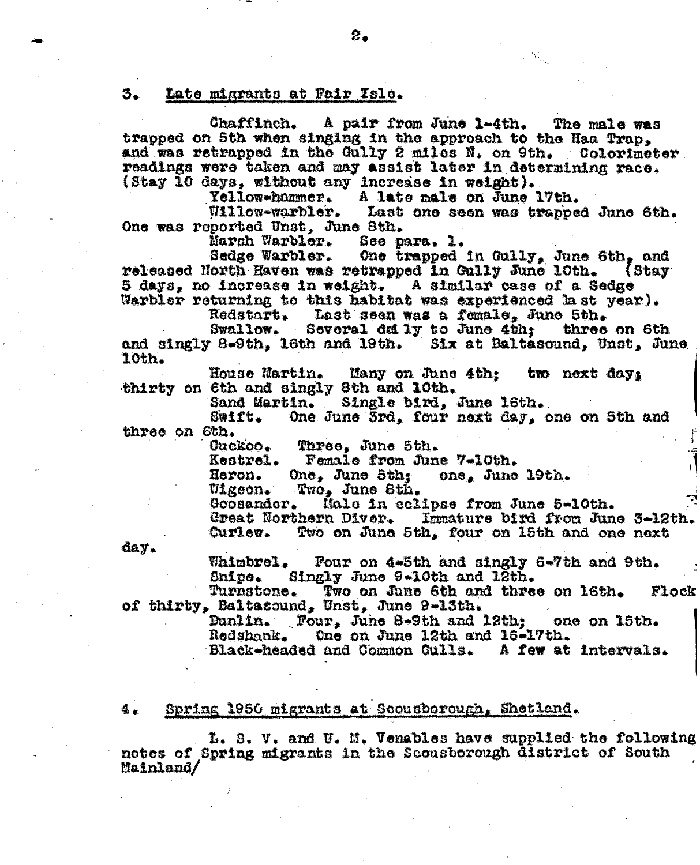### 3. Late migrants at Pair Isle.

Chaffinch. A pair from June 1-4th. The male was trapped on 5th when singing in the approach to the Haa Trap. and was retrapped in the Gully 2 miles N. on 9th. Colorimeter readings were taken and may assist later in determining race. (Stay 10 days, without any increase in weight).

Yellow-hammer. A late male on June 17th.

Willow-warbler. Last one seen was trapped June 6th. One was reported Unst. June Sth.

Marsh Warbler. See para. 1.

One trapped in Gully, June 6th, and Sedge Warbler. released North Haven was retrapped in Gully June 10th.  $1$ Stay 5 days, no increase in weight. A similar case of a Sedge Warbler returning to this habitat was experienced last year).

Last seen was a fomale. June 5th. Redstart.

Swallow. Several daily to June 4th; three on 6th and singly 8-9th, 16th and 19th. Six at Baltasound, Unst, June 10th.

House Martin. Many on June 4th: two next day: thirty on 6th and singly 8th and 10th.

Sand Martin. Single bird, June 16th.

 $strB$ One June 3rd, four next day, one on 5th and three on 6th.

> Guckoo. Three. June 5th.

Kestrel. Female from June 7-10th.

Heron. One. June 5th: one. June 19th.

*Uigeon.* Two, June Sth.

Male in eclipse from June 5-10th. Goosandor.

Great Northern Diver. Immature bird from June 3-12th. Two on June 5th, four on 15th and one next **Gurlew.** 

day.

Whimbrel. Four on 4-5th and singly 6-7th and 9th. Singly June 9-10th and 12th. **Snipe.** 

Turnstone. Two on June 6th and three on 16th. Flock of thirty, Baltasound, Unst, June 9-13th.

> Dunlin. Four, June 8-9th and 12th; one on 15th. **Redshank.** One on June 12th and 16-17th.

Black-headed and Common Gulls. A few at intervals.

### $4.1$ Spring 1956 migrants at Scousborough, Shetland.

L. S. V. and U. M. Venables have supplied the following notes of Spring migrants in the Scousborough district of South  $$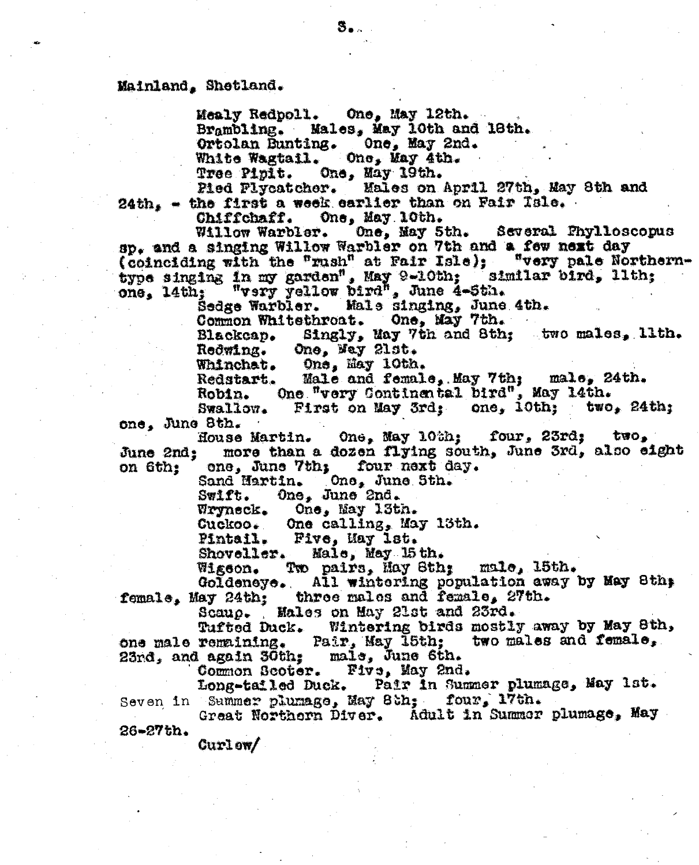### Mainland, Shetland.

One, May 12th. Mealy Redpoll. Brambling. Males, May 10th and 18th. Ortolan Bunting. One, May 2nd. One. May 4th. White Wagtail. Tree Pipit. One, May 19th.

Pied Plycatcher. Males on April 27th, May 8th and  $24th_s$  - the first a week earlier than on Fair Tsle.

Chiffchaff. One, May 10th.

One, May 5th. Several Phylloscopus Willow Warbler. sp. and a singing Willow Warbler on 7th and a few next day (coinciding with the "rush" at Fair Isle); "very pale Northerntype singing in my garden", May 9-10th; 'similar bird, lith;<br>one, l4th; "vsry yellow bird", June 4-5th.<br>Sedge Warbler. Mals singing, June 4th.

Common Whitethroat. One, May 7th.

Singly, May 7th and 8th; two males, lith. Blackcap. One, Way 21st. Redwing.

One, May 10th. Whinchat.

t. Male and female, May 7th; male, 24th.<br>One "very Continental bird", May 14th. Redstart. Robin. First on May 3rd; one, 10th; two, 24th;

Swallow. one, June 8th.

One, May 10th: four, 23rd: two, House Martin. more than a dozen flying south, June 3rd, also eight June 2nd: one, June 7th; four next day. on 6th:

One, June Sth. Sand Hartin.

One, June 2nd. Swift.

One, May 13th. Wryneck.

One calling, May 13th. **Cuckoo.** 

Pintail. Five, May lst.

Male, May 15th. Shoveller.

Two pairs, Hay Sth; malo, 15th. Wigeon.

All wintering population away by May 8th; Goldeneye. female, May 24th; three males and female, 27th.

Scaup. Males on May 21st and 23rd.

Wintering birds mostly away by May 8th, Tufted Duck. one male remaining. Pair, May 15th; two males and female,

23rd, and again 30th; male, June 6th. Common Scoter. Five, May 2nd.

Long-tailed Duck. Pair in Summer plumage, May 1st. Seven in Summer plumage, May 8th; four, 17th.

Great Northorn Diver. Adult in Summer plumage, May  $26 - 27$  th.

 $\text{Curlow}/$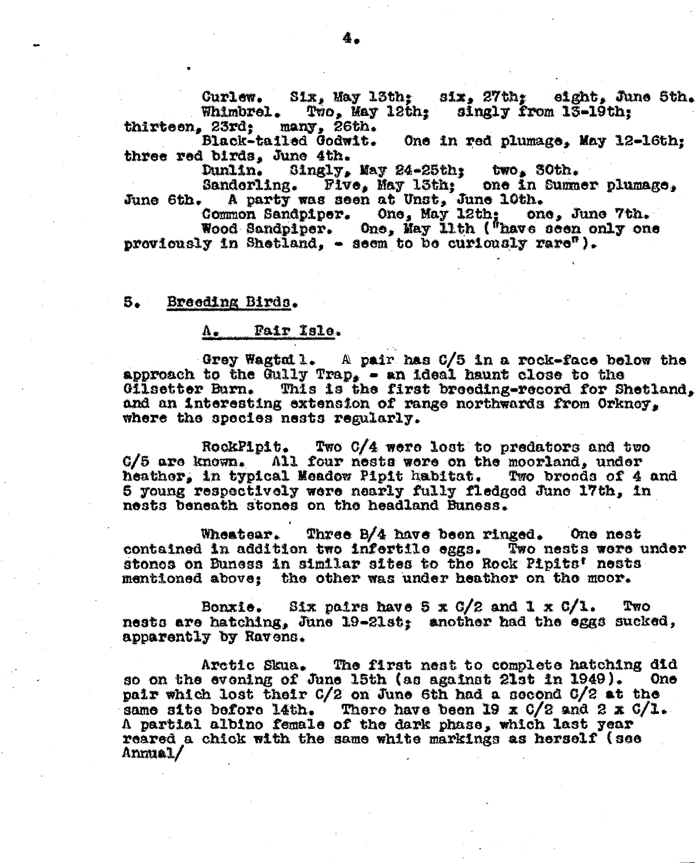Curlew. Six, May 13th; six, 27th; eight, June 5th. Whimbrel. Two. May 12th: singly from 13-19th: thirteen, 23rd; many, 26th.

Black-tailed Godwit. One in red plumage, May 12-16th: three red birds, June 4th.

Dunlin. Singly, May 24-25th; two, 30th.<br>Sandorling. Five, May 13th; one in Summer plumage,<br>A party was seen at Unst, June 10th. June 6th.

Common Sandpiper. One, May 12th; one, June 7th.<br>Wood Sandpiper. One, May 11th ("have seen only one proviously in Shetland. - seem to be curiously rare").

#### Breeding Birds. 5.

### Fair Isle.  $\mathbf{A}_{\bullet}$

Grey Wagtall. A pair has C/5 in a rock-face below the approach to the Gully Trap, - an ideal haunt close to the This is the first breeding-record for Shetland, Gilsetter Burn. and an interesting extension of range northwards from Orkney, where the species nests regularly.

Two C/4 were lost to predators and two RockPipit. C/5 are known. All four nests were on the moorland, under heather, in typical Meadow Pipit habitat. Two broods of 4 and 5 young respectively were nearly fully fledged June 17th, in nests beneath stones on the headland Buness.

Wheatear. Three B/4 have been ringed. One nest contained in addition two infertile eggs. Two nests were under stones on Buness in similar sites to the Rock Pipits' nests mentioned above: the other was under heather on the moor.

Bonxie. Six pairs have  $5 \times 6/2$  and  $1 \times 6/1$ . Two nests are hatching, June 19-21st; another had the eggs sucked, apparently by Ravens.

Arctic Skua. The first nest to complete hatching did so on the evening of June 15th (as against 21st in 1949). **One** pair which lost their G/2 on June 6th had a second G/2 at the same site before l4th. There have been 19 x 0/2 and 2 x 0/1.<br>A partial albino female of the dark phase, which last year reared a chick with the same white markings as herself (see Anmual/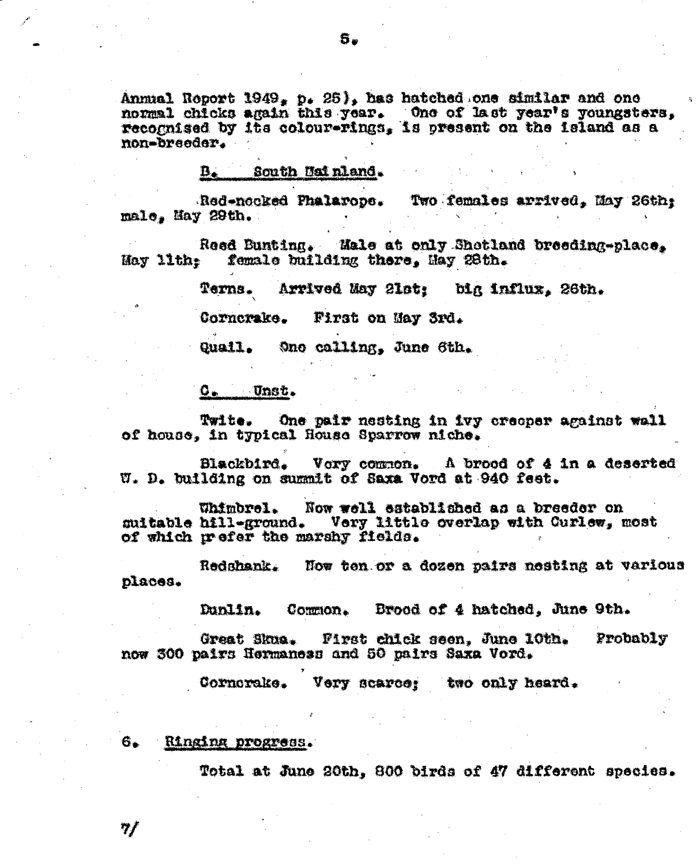Annual Roport 1949, p. 25), has hatched one similar and one normal chicks again this year. One of last year's youngsters, recognised by its colour-rings, is present on the island as a non-breeder.

### South Mainland. B.

Red-nocked Phalarope. Two females arrived. May 26th: male. May 29th.

Reed Bunting. Male at only Shetland breeding-place. female building there. May 28th. May 11th:

> Terns. Arrived May 21st: big influx, 26th.

First on May 3rd. Cornerake.

Quail. Ono calling, June 6th.

### $\mathbf{Q}_{\bullet}$   $\mathbf{U}$ nst.

One pair nesting in ivy creeper against wall Twite. of house, in typical House Sparrow niche.

Blackbird. Vory common. A brood of 4 in a deserted W. D. building on summit of Saxa Vord at 940 feet.

Whimbrel. Now well established as a breeder on Very little overlap with Curlew, most suitable hill-ground. of which meder the marshy fields.

Redshank. Now ten or a dozen pairs nesting at various places.

> Dunlin. Common. Brood of 4 hatched, June 9th.

Great Skua. First chick seen, June 10th. Probably now 300 pairs Hermaness and 50 pairs Saxa Vord.

Cornerake. Very scarce; two only heard.

### 6. Ringing progress.

 $\eta f$ 

Total at June 20th, 800 birds of 47 different species.